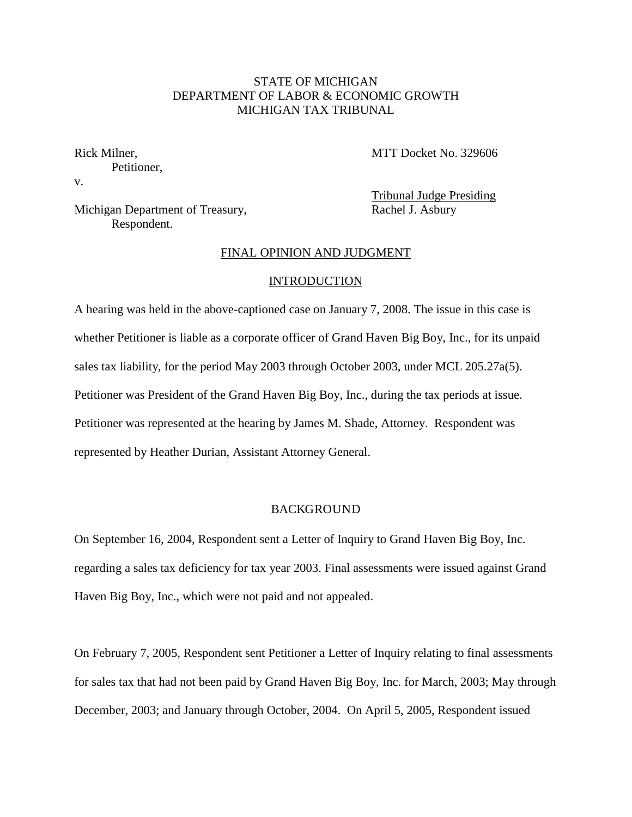# STATE OF MICHIGAN DEPARTMENT OF LABOR & ECONOMIC GROWTH MICHIGAN TAX TRIBUNAL

Rick Milner, Petitioner, v.

MTT Docket No. 329606

Michigan Department of Treasury, Respondent.

Tribunal Judge Presiding Rachel J. Asbury

#### FINAL OPINION AND JUDGMENT

#### INTRODUCTION

A hearing was held in the above-captioned case on January 7, 2008. The issue in this case is whether Petitioner is liable as a corporate officer of Grand Haven Big Boy, Inc., for its unpaid sales tax liability, for the period May 2003 through October 2003, under MCL 205.27a(5). Petitioner was President of the Grand Haven Big Boy, Inc., during the tax periods at issue. Petitioner was represented at the hearing by James M. Shade, Attorney. Respondent was represented by Heather Durian, Assistant Attorney General.

### BACKGROUND

On September 16, 2004, Respondent sent a Letter of Inquiry to Grand Haven Big Boy, Inc. regarding a sales tax deficiency for tax year 2003. Final assessments were issued against Grand Haven Big Boy, Inc., which were not paid and not appealed.

On February 7, 2005, Respondent sent Petitioner a Letter of Inquiry relating to final assessments for sales tax that had not been paid by Grand Haven Big Boy, Inc. for March, 2003; May through December, 2003; and January through October, 2004. On April 5, 2005, Respondent issued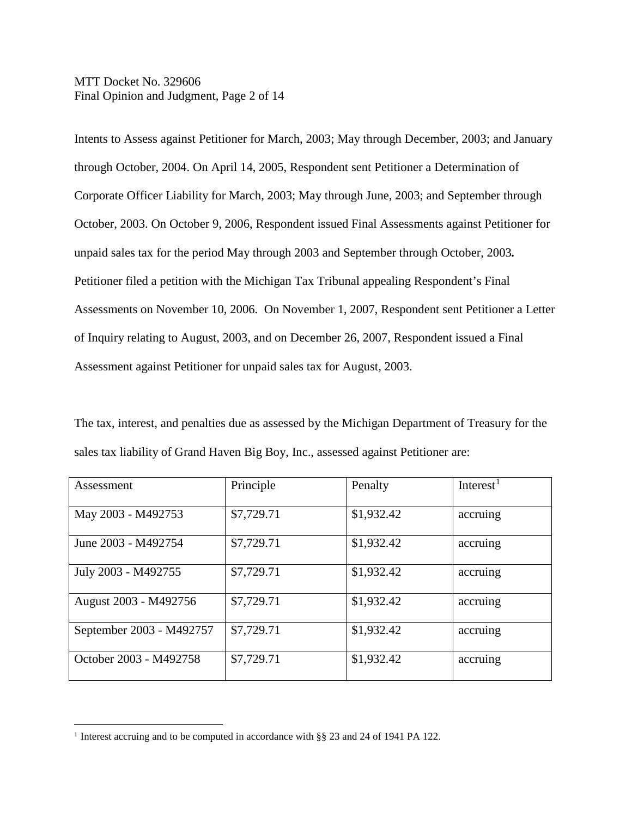MTT Docket No. 329606 Final Opinion and Judgment, Page 2 of 14

Intents to Assess against Petitioner for March, 2003; May through December, 2003; and January through October, 2004. On April 14, 2005, Respondent sent Petitioner a Determination of Corporate Officer Liability for March, 2003; May through June, 2003; and September through October, 2003. On October 9, 2006, Respondent issued Final Assessments against Petitioner for unpaid sales tax for the period May through 2003 and September through October, 2003*.* Petitioner filed a petition with the Michigan Tax Tribunal appealing Respondent's Final Assessments on November 10, 2006. On November 1, 2007, Respondent sent Petitioner a Letter of Inquiry relating to August, 2003, and on December 26, 2007, Respondent issued a Final Assessment against Petitioner for unpaid sales tax for August, 2003.

The tax, interest, and penalties due as assessed by the Michigan Department of Treasury for the sales tax liability of Grand Haven Big Boy, Inc., assessed against Petitioner are:

| Assessment               | Principle  | Penalty    | Interest <sup>1</sup> |
|--------------------------|------------|------------|-----------------------|
| May 2003 - M492753       | \$7,729.71 | \$1,932.42 | accruing              |
| June 2003 - M492754      | \$7,729.71 | \$1,932.42 | accruing              |
| July 2003 - M492755      | \$7,729.71 | \$1,932.42 | accruing              |
| August 2003 - M492756    | \$7,729.71 | \$1,932.42 | accruing              |
| September 2003 - M492757 | \$7,729.71 | \$1,932.42 | accruing              |
| October 2003 - M492758   | \$7,729.71 | \$1,932.42 | accruing              |

<span id="page-1-0"></span><sup>&</sup>lt;sup>1</sup> Interest accruing and to be computed in accordance with §§ 23 and 24 of 1941 PA 122.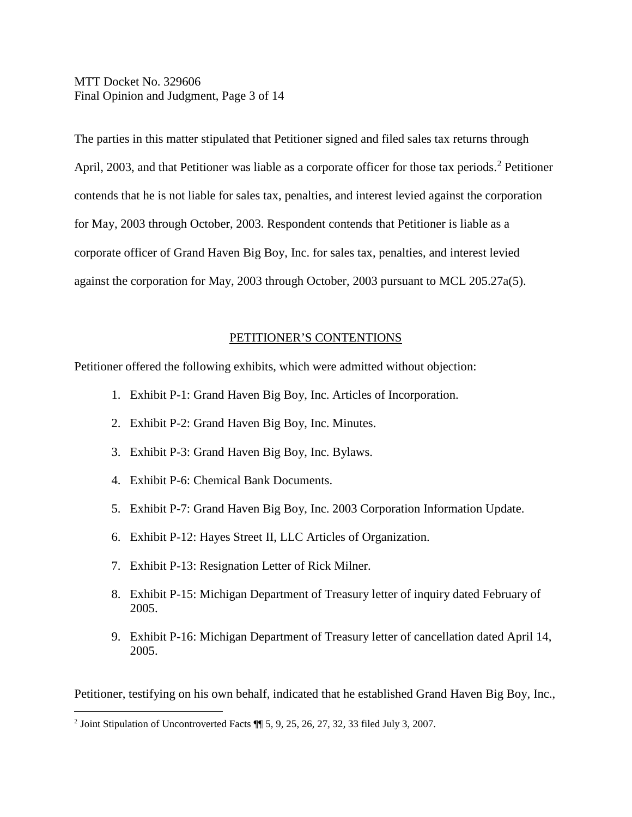MTT Docket No. 329606 Final Opinion and Judgment, Page 3 of 14

The parties in this matter stipulated that Petitioner signed and filed sales tax returns through April, [2](#page-2-0)003, and that Petitioner was liable as a corporate officer for those tax periods.<sup>2</sup> Petitioner contends that he is not liable for sales tax, penalties, and interest levied against the corporation for May, 2003 through October, 2003. Respondent contends that Petitioner is liable as a corporate officer of Grand Haven Big Boy, Inc. for sales tax, penalties, and interest levied against the corporation for May, 2003 through October, 2003 pursuant to MCL 205.27a(5).

# PETITIONER'S CONTENTIONS

Petitioner offered the following exhibits, which were admitted without objection:

- 1. Exhibit P-1: Grand Haven Big Boy, Inc. Articles of Incorporation.
- 2. Exhibit P-2: Grand Haven Big Boy, Inc. Minutes.
- 3. Exhibit P-3: Grand Haven Big Boy, Inc. Bylaws.
- 4. Exhibit P-6: Chemical Bank Documents.
- 5. Exhibit P-7: Grand Haven Big Boy, Inc. 2003 Corporation Information Update.
- 6. Exhibit P-12: Hayes Street II, LLC Articles of Organization.
- 7. Exhibit P-13: Resignation Letter of Rick Milner.
- 8. Exhibit P-15: Michigan Department of Treasury letter of inquiry dated February of 2005.
- 9. Exhibit P-16: Michigan Department of Treasury letter of cancellation dated April 14, 2005.

Petitioner, testifying on his own behalf, indicated that he established Grand Haven Big Boy, Inc.,

<span id="page-2-0"></span> <sup>2</sup> Joint Stipulation of Uncontroverted Facts ¶¶ 5, 9, 25, 26, 27, 32, 33 filed July 3, 2007.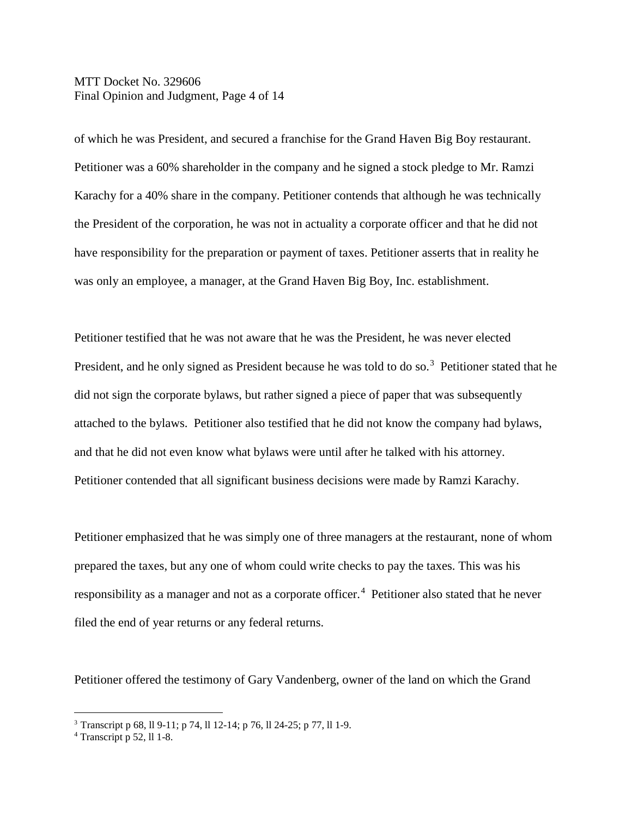MTT Docket No. 329606 Final Opinion and Judgment, Page 4 of 14

of which he was President, and secured a franchise for the Grand Haven Big Boy restaurant. Petitioner was a 60% shareholder in the company and he signed a stock pledge to Mr. Ramzi Karachy for a 40% share in the company. Petitioner contends that although he was technically the President of the corporation, he was not in actuality a corporate officer and that he did not have responsibility for the preparation or payment of taxes. Petitioner asserts that in reality he was only an employee, a manager, at the Grand Haven Big Boy, Inc. establishment.

Petitioner testified that he was not aware that he was the President, he was never elected President, and he only signed as President because he was told to do so.<sup>[3](#page-3-0)</sup> Petitioner stated that he did not sign the corporate bylaws, but rather signed a piece of paper that was subsequently attached to the bylaws. Petitioner also testified that he did not know the company had bylaws, and that he did not even know what bylaws were until after he talked with his attorney. Petitioner contended that all significant business decisions were made by Ramzi Karachy.

Petitioner emphasized that he was simply one of three managers at the restaurant, none of whom prepared the taxes, but any one of whom could write checks to pay the taxes. This was his responsibility as a manager and not as a corporate officer.<sup>[4](#page-3-1)</sup> Petitioner also stated that he never filed the end of year returns or any federal returns.

Petitioner offered the testimony of Gary Vandenberg, owner of the land on which the Grand

<span id="page-3-0"></span><sup>&</sup>lt;sup>3</sup> Transcript p 68, ll 9-11; p 74, ll 12-14; p 76, ll 24-25; p 77, ll 1-9.

<span id="page-3-1"></span> $4$  Transcript p 52, ll 1-8.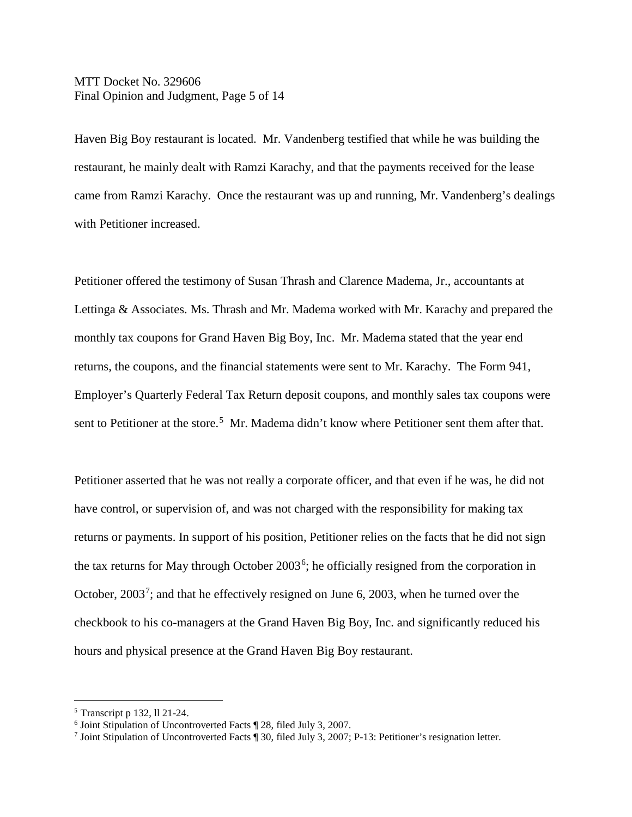MTT Docket No. 329606 Final Opinion and Judgment, Page 5 of 14

Haven Big Boy restaurant is located. Mr. Vandenberg testified that while he was building the restaurant, he mainly dealt with Ramzi Karachy, and that the payments received for the lease came from Ramzi Karachy. Once the restaurant was up and running, Mr. Vandenberg's dealings with Petitioner increased.

Petitioner offered the testimony of Susan Thrash and Clarence Madema, Jr., accountants at Lettinga & Associates. Ms. Thrash and Mr. Madema worked with Mr. Karachy and prepared the monthly tax coupons for Grand Haven Big Boy, Inc. Mr. Madema stated that the year end returns, the coupons, and the financial statements were sent to Mr. Karachy. The Form 941, Employer's Quarterly Federal Tax Return deposit coupons, and monthly sales tax coupons were sent to Petitioner at the store.<sup>[5](#page-4-0)</sup> Mr. Madema didn't know where Petitioner sent them after that.

Petitioner asserted that he was not really a corporate officer, and that even if he was, he did not have control, or supervision of, and was not charged with the responsibility for making tax returns or payments. In support of his position, Petitioner relies on the facts that he did not sign the tax returns for May through October 2003<sup>[6](#page-4-1)</sup>; he officially resigned from the corporation in October,  $2003^7$  $2003^7$ ; and that he effectively resigned on June 6, 2003, when he turned over the checkbook to his co-managers at the Grand Haven Big Boy, Inc. and significantly reduced his hours and physical presence at the Grand Haven Big Boy restaurant.

<span id="page-4-0"></span> <sup>5</sup> Transcript p 132, ll 21-24.

<span id="page-4-1"></span><sup>6</sup> Joint Stipulation of Uncontroverted Facts ¶ 28, filed July 3, 2007.

<span id="page-4-2"></span><sup>7</sup> Joint Stipulation of Uncontroverted Facts ¶ 30, filed July 3, 2007; P-13: Petitioner's resignation letter.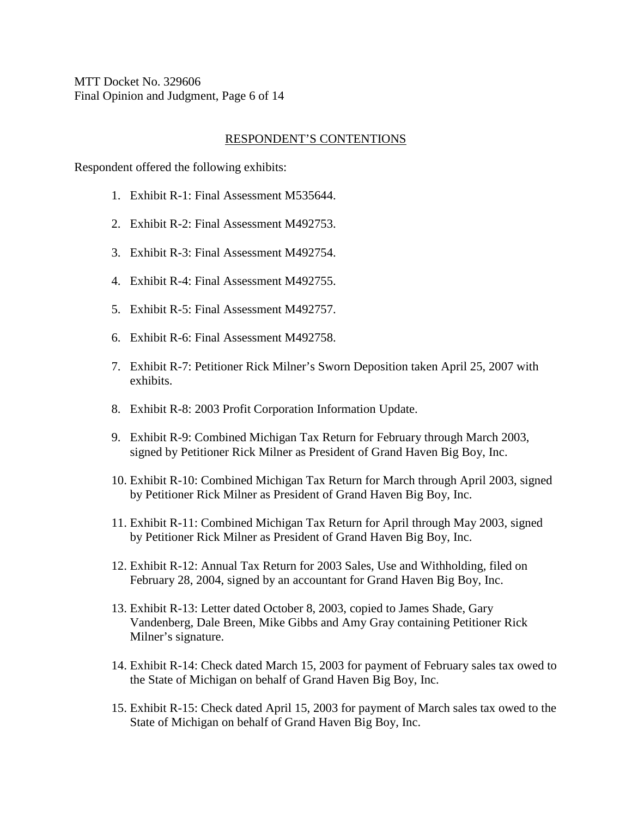MTT Docket No. 329606 Final Opinion and Judgment, Page 6 of 14

### RESPONDENT'S CONTENTIONS

Respondent offered the following exhibits:

- 1. Exhibit R-1: Final Assessment M535644.
- 2. Exhibit R-2: Final Assessment M492753.
- 3. Exhibit R-3: Final Assessment M492754.
- 4. Exhibit R-4: Final Assessment M492755.
- 5. Exhibit R-5: Final Assessment M492757.
- 6. Exhibit R-6: Final Assessment M492758.
- 7. Exhibit R-7: Petitioner Rick Milner's Sworn Deposition taken April 25, 2007 with exhibits.
- 8. Exhibit R-8: 2003 Profit Corporation Information Update.
- 9. Exhibit R-9: Combined Michigan Tax Return for February through March 2003, signed by Petitioner Rick Milner as President of Grand Haven Big Boy, Inc.
- 10. Exhibit R-10: Combined Michigan Tax Return for March through April 2003, signed by Petitioner Rick Milner as President of Grand Haven Big Boy, Inc.
- 11. Exhibit R-11: Combined Michigan Tax Return for April through May 2003, signed by Petitioner Rick Milner as President of Grand Haven Big Boy, Inc.
- 12. Exhibit R-12: Annual Tax Return for 2003 Sales, Use and Withholding, filed on February 28, 2004, signed by an accountant for Grand Haven Big Boy, Inc.
- 13. Exhibit R-13: Letter dated October 8, 2003, copied to James Shade, Gary Vandenberg, Dale Breen, Mike Gibbs and Amy Gray containing Petitioner Rick Milner's signature.
- 14. Exhibit R-14: Check dated March 15, 2003 for payment of February sales tax owed to the State of Michigan on behalf of Grand Haven Big Boy, Inc.
- 15. Exhibit R-15: Check dated April 15, 2003 for payment of March sales tax owed to the State of Michigan on behalf of Grand Haven Big Boy, Inc.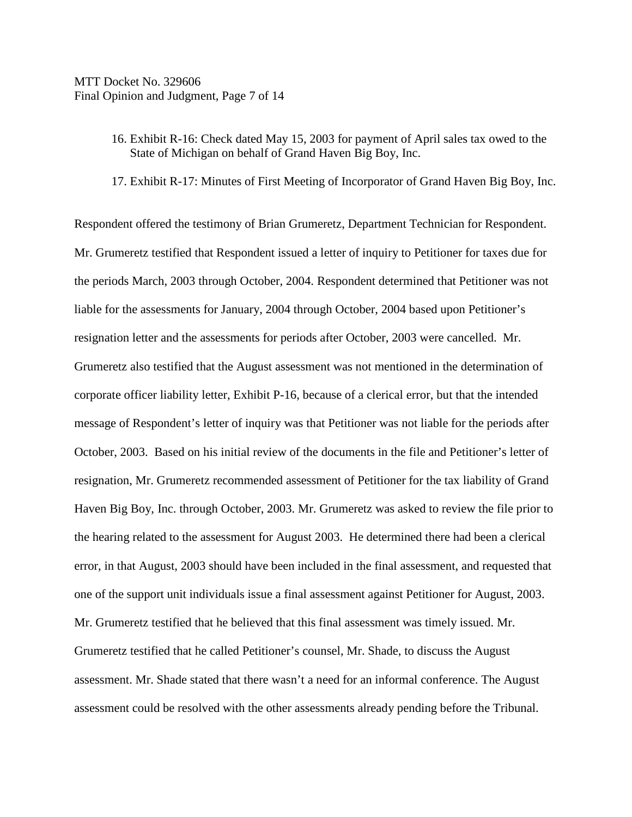- 16. Exhibit R-16: Check dated May 15, 2003 for payment of April sales tax owed to the State of Michigan on behalf of Grand Haven Big Boy, Inc.
- 17. Exhibit R-17: Minutes of First Meeting of Incorporator of Grand Haven Big Boy, Inc.

Respondent offered the testimony of Brian Grumeretz, Department Technician for Respondent. Mr. Grumeretz testified that Respondent issued a letter of inquiry to Petitioner for taxes due for the periods March, 2003 through October, 2004. Respondent determined that Petitioner was not liable for the assessments for January, 2004 through October, 2004 based upon Petitioner's resignation letter and the assessments for periods after October, 2003 were cancelled. Mr. Grumeretz also testified that the August assessment was not mentioned in the determination of corporate officer liability letter, Exhibit P-16, because of a clerical error, but that the intended message of Respondent's letter of inquiry was that Petitioner was not liable for the periods after October, 2003. Based on his initial review of the documents in the file and Petitioner's letter of resignation, Mr. Grumeretz recommended assessment of Petitioner for the tax liability of Grand Haven Big Boy, Inc. through October, 2003. Mr. Grumeretz was asked to review the file prior to the hearing related to the assessment for August 2003. He determined there had been a clerical error, in that August, 2003 should have been included in the final assessment, and requested that one of the support unit individuals issue a final assessment against Petitioner for August, 2003. Mr. Grumeretz testified that he believed that this final assessment was timely issued. Mr. Grumeretz testified that he called Petitioner's counsel, Mr. Shade, to discuss the August assessment. Mr. Shade stated that there wasn't a need for an informal conference. The August assessment could be resolved with the other assessments already pending before the Tribunal.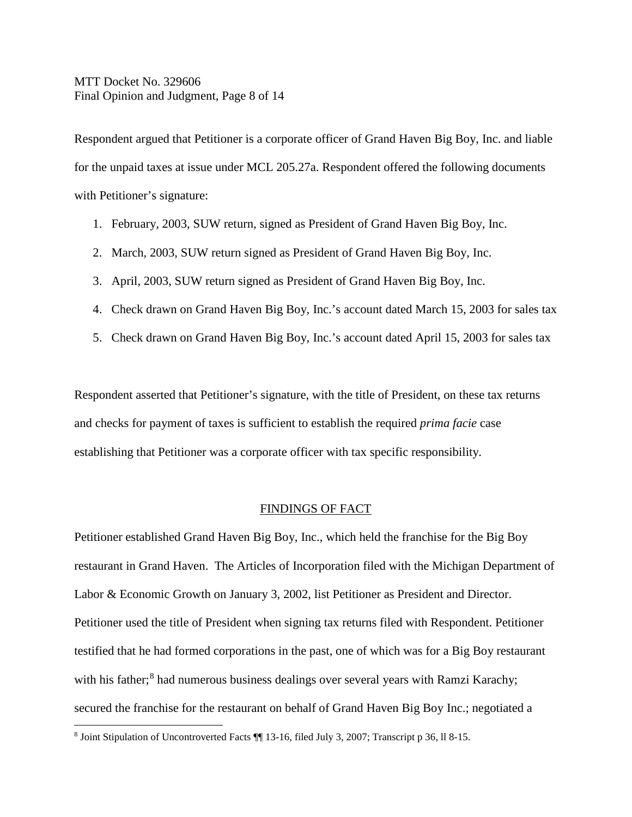# MTT Docket No. 329606 Final Opinion and Judgment, Page 8 of 14

Respondent argued that Petitioner is a corporate officer of Grand Haven Big Boy, Inc. and liable for the unpaid taxes at issue under MCL 205.27a. Respondent offered the following documents with Petitioner's signature:

- 1. February, 2003, SUW return, signed as President of Grand Haven Big Boy, Inc.
- 2. March, 2003, SUW return signed as President of Grand Haven Big Boy, Inc.
- 3. April, 2003, SUW return signed as President of Grand Haven Big Boy, Inc.
- 4. Check drawn on Grand Haven Big Boy, Inc.'s account dated March 15, 2003 for sales tax
- 5. Check drawn on Grand Haven Big Boy, Inc.'s account dated April 15, 2003 for sales tax

Respondent asserted that Petitioner's signature, with the title of President, on these tax returns and checks for payment of taxes is sufficient to establish the required *prima facie* case establishing that Petitioner was a corporate officer with tax specific responsibility.

### FINDINGS OF FACT

Petitioner established Grand Haven Big Boy, Inc., which held the franchise for the Big Boy restaurant in Grand Haven. The Articles of Incorporation filed with the Michigan Department of Labor & Economic Growth on January 3, 2002, list Petitioner as President and Director. Petitioner used the title of President when signing tax returns filed with Respondent. Petitioner testified that he had formed corporations in the past, one of which was for a Big Boy restaurant with his father;<sup>[8](#page-7-0)</sup> had numerous business dealings over several years with Ramzi Karachy; secured the franchise for the restaurant on behalf of Grand Haven Big Boy Inc.; negotiated a

<span id="page-7-0"></span> <sup>8</sup> Joint Stipulation of Uncontroverted Facts ¶¶ 13-16, filed July 3, 2007; Transcript p 36, ll 8-15.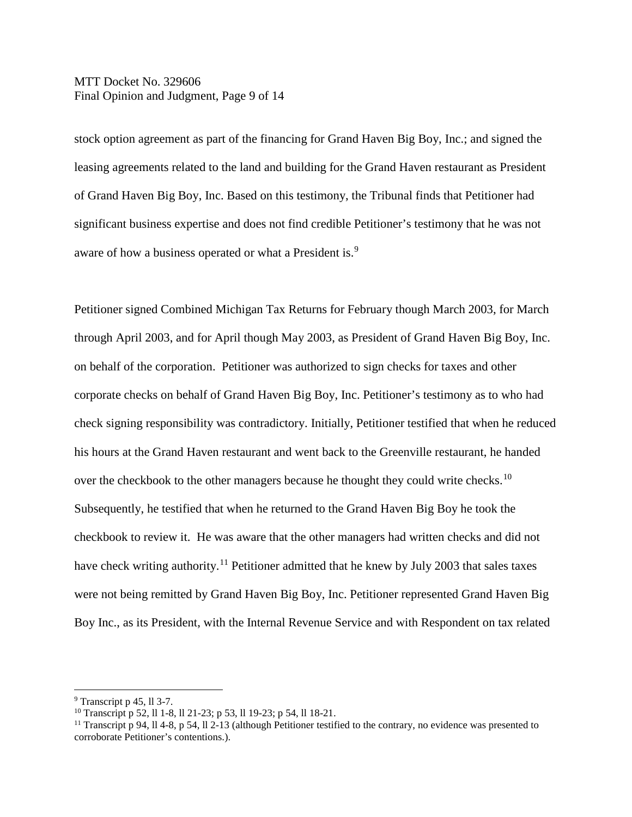MTT Docket No. 329606 Final Opinion and Judgment, Page 9 of 14

stock option agreement as part of the financing for Grand Haven Big Boy, Inc.; and signed the leasing agreements related to the land and building for the Grand Haven restaurant as President of Grand Haven Big Boy, Inc. Based on this testimony, the Tribunal finds that Petitioner had significant business expertise and does not find credible Petitioner's testimony that he was not aware of how a business operated or what a President is.<sup>[9](#page-8-0)</sup>

Petitioner signed Combined Michigan Tax Returns for February though March 2003, for March through April 2003, and for April though May 2003, as President of Grand Haven Big Boy, Inc. on behalf of the corporation. Petitioner was authorized to sign checks for taxes and other corporate checks on behalf of Grand Haven Big Boy, Inc. Petitioner's testimony as to who had check signing responsibility was contradictory. Initially, Petitioner testified that when he reduced his hours at the Grand Haven restaurant and went back to the Greenville restaurant, he handed over the checkbook to the other managers because he thought they could write checks.<sup>[10](#page-8-1)</sup> Subsequently, he testified that when he returned to the Grand Haven Big Boy he took the checkbook to review it. He was aware that the other managers had written checks and did not have check writing authority.<sup>[11](#page-8-2)</sup> Petitioner admitted that he knew by July 2003 that sales taxes were not being remitted by Grand Haven Big Boy, Inc. Petitioner represented Grand Haven Big Boy Inc., as its President, with the Internal Revenue Service and with Respondent on tax related

<span id="page-8-0"></span> <sup>9</sup> Transcript p 45, ll 3-7.

<span id="page-8-1"></span><sup>10</sup> Transcript p 52, ll 1-8, ll 21-23; p 53, ll 19-23; p 54, ll 18-21.

<span id="page-8-2"></span><sup>&</sup>lt;sup>11</sup> Transcript p 94, ll 4-8, p 54, ll 2-13 (although Petitioner testified to the contrary, no evidence was presented to corroborate Petitioner's contentions.).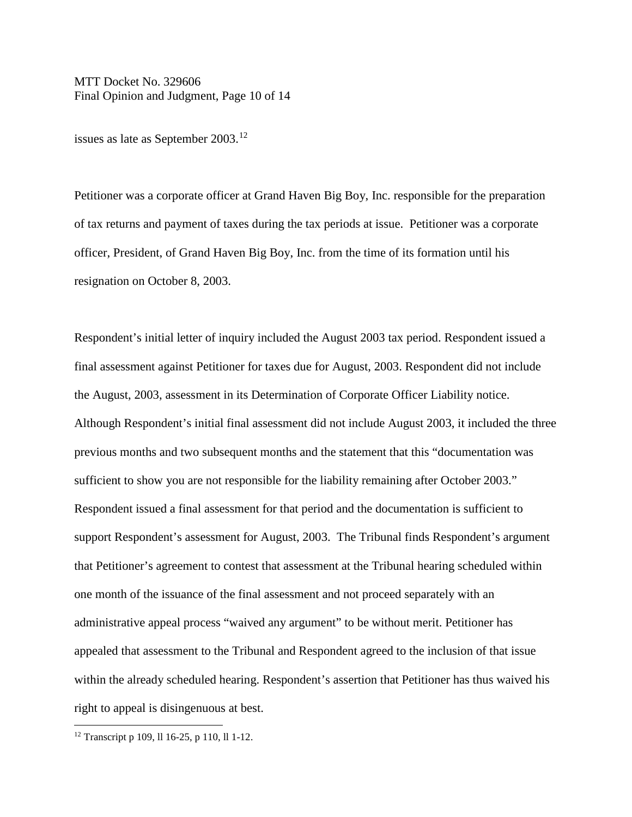MTT Docket No. 329606 Final Opinion and Judgment, Page 10 of 14

issues as late as September 2003.<sup>[12](#page-9-0)</sup>

Petitioner was a corporate officer at Grand Haven Big Boy, Inc. responsible for the preparation of tax returns and payment of taxes during the tax periods at issue. Petitioner was a corporate officer, President, of Grand Haven Big Boy, Inc. from the time of its formation until his resignation on October 8, 2003.

Respondent's initial letter of inquiry included the August 2003 tax period. Respondent issued a final assessment against Petitioner for taxes due for August, 2003. Respondent did not include the August, 2003, assessment in its Determination of Corporate Officer Liability notice. Although Respondent's initial final assessment did not include August 2003, it included the three previous months and two subsequent months and the statement that this "documentation was sufficient to show you are not responsible for the liability remaining after October 2003." Respondent issued a final assessment for that period and the documentation is sufficient to support Respondent's assessment for August, 2003. The Tribunal finds Respondent's argument that Petitioner's agreement to contest that assessment at the Tribunal hearing scheduled within one month of the issuance of the final assessment and not proceed separately with an administrative appeal process "waived any argument" to be without merit. Petitioner has appealed that assessment to the Tribunal and Respondent agreed to the inclusion of that issue within the already scheduled hearing. Respondent's assertion that Petitioner has thus waived his right to appeal is disingenuous at best.

<span id="page-9-0"></span> <sup>12</sup> Transcript p 109, ll 16-25, p 110, ll 1-12.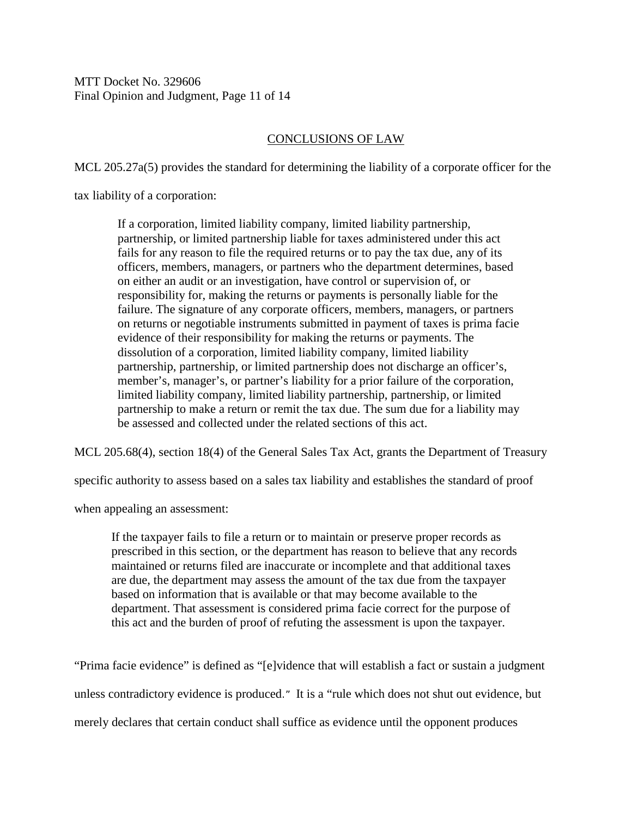MTT Docket No. 329606 Final Opinion and Judgment, Page 11 of 14

# CONCLUSIONS OF LAW

MCL 205.27a(5) provides the standard for determining the liability of a corporate officer for the

tax liability of a corporation:

If a corporation, limited liability company, limited liability partnership, partnership, or limited partnership liable for taxes administered under this act fails for any reason to file the required returns or to pay the tax due, any of its officers, members, managers, or partners who the department determines, based on either an audit or an investigation, have control or supervision of, or responsibility for, making the returns or payments is personally liable for the failure. The signature of any corporate officers, members, managers, or partners on returns or negotiable instruments submitted in payment of taxes is prima facie evidence of their responsibility for making the returns or payments. The dissolution of a corporation, limited liability company, limited liability partnership, partnership, or limited partnership does not discharge an officer's, member's, manager's, or partner's liability for a prior failure of the corporation, limited liability company, limited liability partnership, partnership, or limited partnership to make a return or remit the tax due. The sum due for a liability may be assessed and collected under the related sections of this act.

MCL 205.68(4), section 18(4) of the General Sales Tax Act, grants the Department of Treasury

specific authority to assess based on a sales tax liability and establishes the standard of proof

when appealing an assessment:

If the taxpayer fails to file a return or to maintain or preserve proper records as prescribed in this section, or the department has reason to believe that any records maintained or returns filed are inaccurate or incomplete and that additional taxes are due, the department may assess the amount of the tax due from the taxpayer based on information that is available or that may become available to the department. That assessment is considered prima facie correct for the purpose of this act and the burden of proof of refuting the assessment is upon the taxpayer.

"Prima facie evidence" is defined as "[e]vidence that will establish a fact or sustain a judgment unless contradictory evidence is produced." It is a "rule which does not shut out evidence, but merely declares that certain conduct shall suffice as evidence until the opponent produces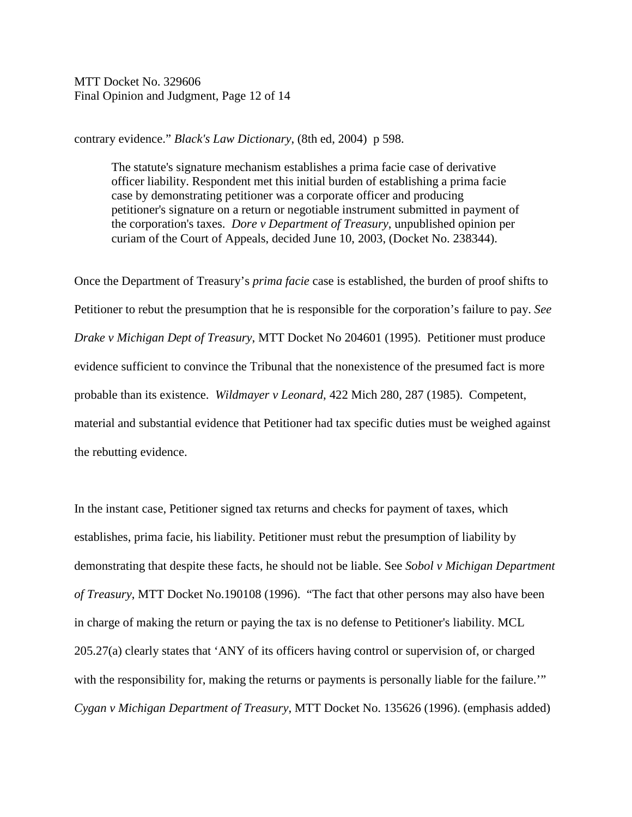MTT Docket No. 329606 Final Opinion and Judgment, Page 12 of 14

contrary evidence." *Black's Law Dictionary*, (8th ed, 2004) p 598.

The statute's signature mechanism establishes a prima facie case of derivative officer liability. Respondent met this initial burden of establishing a prima facie case by demonstrating petitioner was a corporate officer and producing petitioner's signature on a return or negotiable instrument submitted in payment of the corporation's taxes. *Dore v Department of Treasury*, unpublished opinion per curiam of the Court of Appeals, decided June 10, 2003, (Docket No. 238344).

Once the Department of Treasury's *prima facie* case is established, the burden of proof shifts to Petitioner to rebut the presumption that he is responsible for the corporation's failure to pay. *See Drake v Michigan Dept of Treasury*, MTT Docket No 204601 (1995). Petitioner must produce evidence sufficient to convince the Tribunal that the nonexistence of the presumed fact is more probable than its existence. *Wildmayer v Leonard*, 422 Mich 280, 287 (1985). Competent, material and substantial evidence that Petitioner had tax specific duties must be weighed against the rebutting evidence.

In the instant case, Petitioner signed tax returns and checks for payment of taxes, which establishes, prima facie, his liability. Petitioner must rebut the presumption of liability by demonstrating that despite these facts, he should not be liable. See *Sobol v Michigan Department of Treasury*, MTT Docket No.190108 (1996). "The fact that other persons may also have been in charge of making the return or paying the tax is no defense to Petitioner's liability. MCL 205.27(a) clearly states that 'ANY of its officers having control or supervision of, or charged with the responsibility for, making the returns or payments is personally liable for the failure." *Cygan v Michigan Department of Treasury*, MTT Docket No. 135626 (1996). (emphasis added)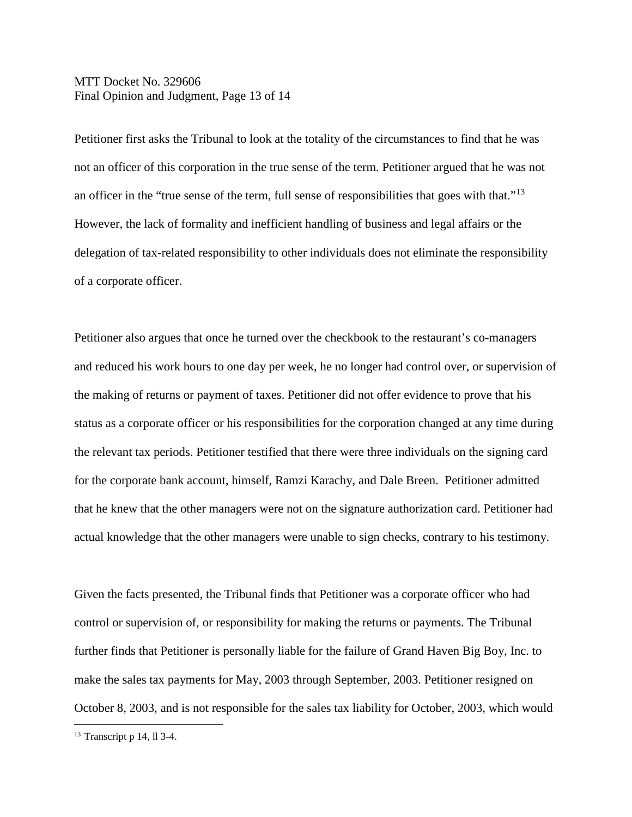MTT Docket No. 329606 Final Opinion and Judgment, Page 13 of 14

Petitioner first asks the Tribunal to look at the totality of the circumstances to find that he was not an officer of this corporation in the true sense of the term. Petitioner argued that he was not an officer in the "true sense of the term, full sense of responsibilities that goes with that."<sup>13</sup> However, the lack of formality and inefficient handling of business and legal affairs or the delegation of tax-related responsibility to other individuals does not eliminate the responsibility of a corporate officer.

Petitioner also argues that once he turned over the checkbook to the restaurant's co-managers and reduced his work hours to one day per week, he no longer had control over, or supervision of the making of returns or payment of taxes. Petitioner did not offer evidence to prove that his status as a corporate officer or his responsibilities for the corporation changed at any time during the relevant tax periods. Petitioner testified that there were three individuals on the signing card for the corporate bank account, himself, Ramzi Karachy, and Dale Breen. Petitioner admitted that he knew that the other managers were not on the signature authorization card. Petitioner had actual knowledge that the other managers were unable to sign checks, contrary to his testimony.

Given the facts presented, the Tribunal finds that Petitioner was a corporate officer who had control or supervision of, or responsibility for making the returns or payments. The Tribunal further finds that Petitioner is personally liable for the failure of Grand Haven Big Boy, Inc. to make the sales tax payments for May, 2003 through September, 2003. Petitioner resigned on October 8, 2003, and is not responsible for the sales tax liability for October, 2003, which would

<span id="page-12-0"></span> <sup>13</sup> Transcript p 14, ll 3-4.